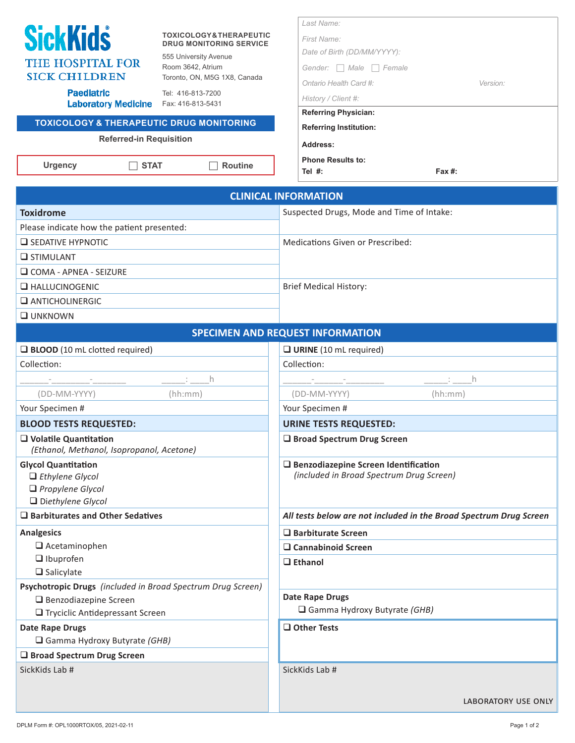| <b>SickKids</b>         |
|-------------------------|
| <b>THE HOSPITAL FOR</b> |
| <b>SICK CHILDREN</b>    |

### **TOXICOLOGY & THERAPEUTIC DRUG MONITORING SERVICE**

555 University Avenue Room 3642, Atrium Toronto, ON, M5G 1X8, Canada

**Paediatric** Laboratory Medicine Fax: 416-813-5431

Tel: 416-813-7200

# **TOXICOLOGY & THERAPEUTIC DRUG MONITORING**

#### **Referred-in Requisition**

Urgency **□ STAT** ■ Routine

| Last Name:                          |          |
|-------------------------------------|----------|
| First Name:                         |          |
| Date of Birth (DD/MM/YYYY):         |          |
| Male<br>Gender:<br>Female<br>$\Box$ |          |
| Ontario Health Card #:              | Version: |
| History / Client #:                 |          |
| <b>Referring Physician:</b>         |          |
| <b>Referring Institution:</b>       |          |
| Address:                            |          |
| <b>Phone Results to:</b>            |          |

**Tel #: Fax #:**

| <b>CLINICAL INFORMATION</b>                                                                                                                                                                                                                                            |                                                                                    |  |  |
|------------------------------------------------------------------------------------------------------------------------------------------------------------------------------------------------------------------------------------------------------------------------|------------------------------------------------------------------------------------|--|--|
| <b>Toxidrome</b>                                                                                                                                                                                                                                                       | Suspected Drugs, Mode and Time of Intake:                                          |  |  |
| Please indicate how the patient presented:                                                                                                                                                                                                                             |                                                                                    |  |  |
| $\Box$ SEDATIVE HYPNOTIC                                                                                                                                                                                                                                               | Medications Given or Prescribed:                                                   |  |  |
| $\Box$ STIMULANT                                                                                                                                                                                                                                                       |                                                                                    |  |  |
| $\Box$ COMA - APNEA - SEIZURE                                                                                                                                                                                                                                          |                                                                                    |  |  |
| $\Box$ HALLUCINOGENIC                                                                                                                                                                                                                                                  | <b>Brief Medical History:</b>                                                      |  |  |
| $\Box$ ANTICHOLINERGIC                                                                                                                                                                                                                                                 |                                                                                    |  |  |
| $\square$ UNKNOWN                                                                                                                                                                                                                                                      |                                                                                    |  |  |
|                                                                                                                                                                                                                                                                        | <b>SPECIMEN AND REQUEST INFORMATION</b>                                            |  |  |
| BLOOD (10 mL clotted required)                                                                                                                                                                                                                                         | $\Box$ URINE (10 mL required)                                                      |  |  |
| Collection:                                                                                                                                                                                                                                                            | Collection:                                                                        |  |  |
| $\begin{tabular}{ll} \hline \quad \quad & \quad \quad & \quad \quad \\ \hline \quad \quad & \quad \quad & \quad \quad \\ \hline \end{tabular}$<br><u> 2002 - Jan Barbara Barbara, masa kacamatan ing kabupatèn Jan Barbara Barbara (na kacamatan Ing Kabupatèn Jan</u> |                                                                                    |  |  |
| (hh:mm)<br>(DD-MM-YYYY)                                                                                                                                                                                                                                                | (hh:mm)<br>(DD-MM-YYYY)                                                            |  |  |
| Your Specimen #                                                                                                                                                                                                                                                        | Your Specimen #                                                                    |  |  |
| <b>BLOOD TESTS REQUESTED:</b>                                                                                                                                                                                                                                          | <b>URINE TESTS REQUESTED:</b>                                                      |  |  |
| $\Box$ Volatile Quantitation<br>(Ethanol, Methanol, Isopropanol, Acetone)                                                                                                                                                                                              | □ Broad Spectrum Drug Screen                                                       |  |  |
| <b>Glycol Quantitation</b><br>$\Box$ Ethylene Glycol<br>$\Box$ Propylene Glycol<br>$\Box$ Diethylene Glycol                                                                                                                                                            | □ Benzodiazepine Screen Identification<br>(included in Broad Spectrum Drug Screen) |  |  |
| $\Box$ Barbiturates and Other Sedatives                                                                                                                                                                                                                                | All tests below are not included in the Broad Spectrum Drug Screen                 |  |  |
| <b>Analgesics</b>                                                                                                                                                                                                                                                      | $\Box$ Barbiturate Screen                                                          |  |  |
| $\Box$ Acetaminophen                                                                                                                                                                                                                                                   | $\Box$ Cannabinoid Screen                                                          |  |  |
| $\Box$ Ibuprofen<br>$\Box$ Salicylate                                                                                                                                                                                                                                  | $\Box$ Ethanol                                                                     |  |  |
| Psychotropic Drugs (included in Broad Spectrum Drug Screen)                                                                                                                                                                                                            |                                                                                    |  |  |
| Benzodiazepine Screen                                                                                                                                                                                                                                                  | <b>Date Rape Drugs</b><br>$\Box$ Gamma Hydroxy Butyrate (GHB)                      |  |  |
| □ Tryciclic Antidepressant Screen                                                                                                                                                                                                                                      |                                                                                    |  |  |
| <b>Date Rape Drugs</b>                                                                                                                                                                                                                                                 | $\Box$ Other Tests                                                                 |  |  |
| $\Box$ Gamma Hydroxy Butyrate (GHB)                                                                                                                                                                                                                                    |                                                                                    |  |  |
| □ Broad Spectrum Drug Screen                                                                                                                                                                                                                                           |                                                                                    |  |  |
| SickKids Lab #                                                                                                                                                                                                                                                         | SickKids Lab #                                                                     |  |  |
|                                                                                                                                                                                                                                                                        | LABORATORY USE ONLY                                                                |  |  |